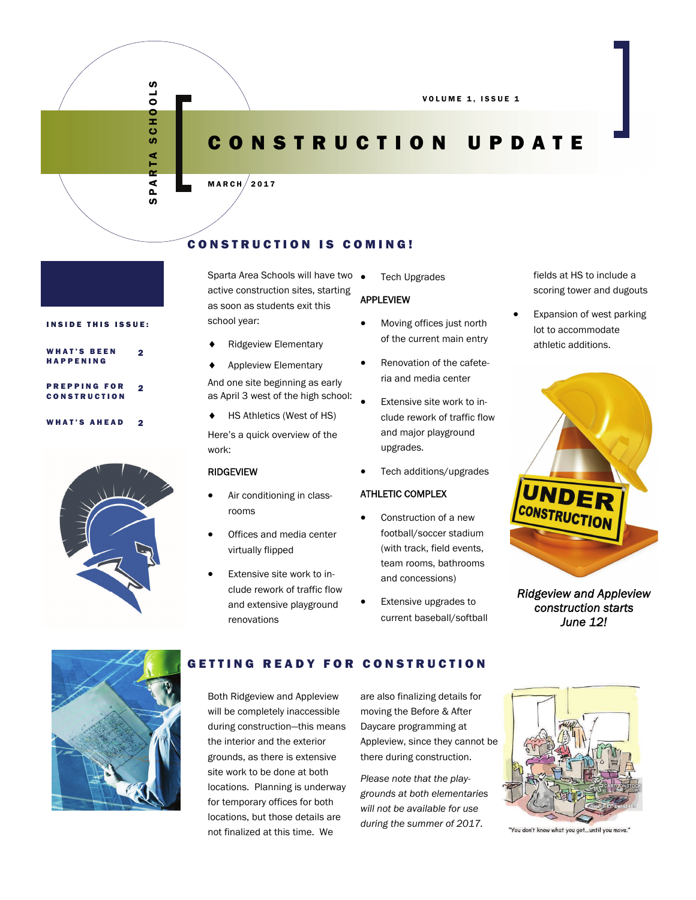VOLUME 1, ISSUE 1

# CONSTRUCTION UPDATE

### $MARTH/2017$

## CONSTRUCTION IS COMING!

Sparta Area Schools will have two  $\bullet$ active construction sites, starting as soon as students exit this school year:

- Ridgeview Elementary
- Appleview Elementary

And one site beginning as early as April 3 west of the high school:

◆ HS Athletics (West of HS)

Here's a quick overview of the work:

### RIDGEVIEW

- Air conditioning in classrooms
- Offices and media center virtually flipped
- Extensive site work to include rework of traffic flow and extensive playground renovations

Tech Upgrades

### APPLEVIEW

- Moving offices just north of the current main entry
- Renovation of the cafeteria and media center
- Extensive site work to include rework of traffic flow and major playground upgrades.
- Tech additions/upgrades

### ATHLETIC COMPLEX

- Construction of a new football/soccer stadium (with track, field events, team rooms, bathrooms and concessions)
- Extensive upgrades to current baseball/softball

fields at HS to include a scoring tower and dugouts

 Expansion of west parking lot to accommodate athletic additions.

UNDEI **INSTRUCTION** 

*Ridgeview and Appleview construction starts June 12!* 



### GETTING READY FOR CONSTRUCTION

Both Ridgeview and Appleview will be completely inaccessible during construction—this means the interior and the exterior grounds, as there is extensive site work to be done at both locations. Planning is underway for temporary offices for both locations, but those details are not finalized at this time. We

are also finalizing details for moving the Before & After Daycare programming at Appleview, since they cannot be there during construction.

*Please note that the playgrounds at both elementaries will not be available for use during the summer of 2017.* 



"You don't know what you got ...until you move."





2

2

SPARTA SCHOOLS

RTA  $\blacktriangleleft$  $\sim$ ဖာ

**SCHOOLS** 

| <b>WHAT'S BEEN</b> |  |  |  |  |  |  |  |                     |  |  |  |
|--------------------|--|--|--|--|--|--|--|---------------------|--|--|--|
| <b>HAPPENING</b>   |  |  |  |  |  |  |  |                     |  |  |  |
|                    |  |  |  |  |  |  |  |                     |  |  |  |
|                    |  |  |  |  |  |  |  |                     |  |  |  |
|                    |  |  |  |  |  |  |  | <b>PREPPING FOR</b> |  |  |  |

# CONSTRUCTION WHAT'S AHEAD 2